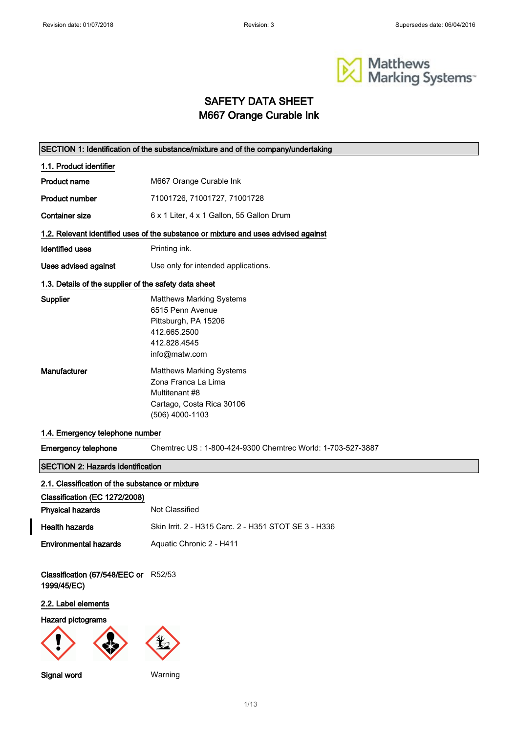$\overline{\phantom{a}}$ 



# SAFETY DATA SHEET M667 Orange Curable Ink

|                                                       | SECTION 1: Identification of the substance/mixture and of the company/undertaking                                            |
|-------------------------------------------------------|------------------------------------------------------------------------------------------------------------------------------|
| 1.1. Product identifier                               |                                                                                                                              |
| Product name                                          | M667 Orange Curable Ink                                                                                                      |
| <b>Product number</b>                                 | 71001726, 71001727, 71001728                                                                                                 |
| <b>Container size</b>                                 | 6 x 1 Liter, 4 x 1 Gallon, 55 Gallon Drum                                                                                    |
|                                                       | 1.2. Relevant identified uses of the substance or mixture and uses advised against                                           |
| <b>Identified uses</b>                                | Printing ink.                                                                                                                |
| Uses advised against                                  | Use only for intended applications.                                                                                          |
| 1.3. Details of the supplier of the safety data sheet |                                                                                                                              |
| Supplier                                              | <b>Matthews Marking Systems</b><br>6515 Penn Avenue<br>Pittsburgh, PA 15206<br>412.665.2500<br>412.828.4545<br>info@matw.com |
| <b>Manufacturer</b>                                   | <b>Matthews Marking Systems</b><br>Zona Franca La Lima<br>Multitenant #8<br>Cartago, Costa Rica 30106<br>(506) 4000-1103     |
| 1.4. Emergency telephone number                       |                                                                                                                              |
| <b>Emergency telephone</b>                            | Chemtrec US: 1-800-424-9300 Chemtrec World: 1-703-527-3887                                                                   |
| <b>SECTION 2: Hazards identification</b>              |                                                                                                                              |
| 2.1. Classification of the substance or mixture       |                                                                                                                              |
| Classification (EC 1272/2008)                         |                                                                                                                              |
| <b>Physical hazards</b>                               | Not Classified                                                                                                               |
| <b>Health hazards</b>                                 | Skin Irrit. 2 - H315 Carc. 2 - H351 STOT SE 3 - H336                                                                         |
| <b>Environmental hazards</b>                          | Aquatic Chronic 2 - H411                                                                                                     |
| Classification (67/548/EEC or R52/53<br>1999/45/EC)   |                                                                                                                              |
| 2.2. Label elements                                   |                                                                                                                              |
| Hazard pictograms                                     |                                                                                                                              |
|                                                       |                                                                                                                              |
| Signal word                                           | Warning                                                                                                                      |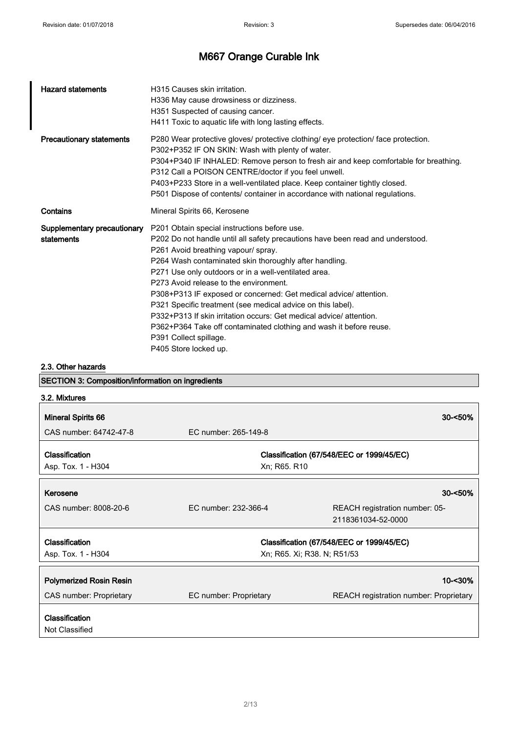| <b>Hazard statements</b>                  | H315 Causes skin irritation.<br>H336 May cause drowsiness or dizziness.<br>H351 Suspected of causing cancer.<br>H411 Toxic to aquatic life with long lasting effects.                                                                                                                                                                                                                                                                                                                                                                                                                                                                                                 |
|-------------------------------------------|-----------------------------------------------------------------------------------------------------------------------------------------------------------------------------------------------------------------------------------------------------------------------------------------------------------------------------------------------------------------------------------------------------------------------------------------------------------------------------------------------------------------------------------------------------------------------------------------------------------------------------------------------------------------------|
| <b>Precautionary statements</b>           | P280 Wear protective gloves/ protective clothing/ eye protection/ face protection.<br>P302+P352 IF ON SKIN: Wash with plenty of water.<br>P304+P340 IF INHALED: Remove person to fresh air and keep comfortable for breathing.<br>P312 Call a POISON CENTRE/doctor if you feel unwell.<br>P403+P233 Store in a well-ventilated place. Keep container tightly closed.<br>P501 Dispose of contents/ container in accordance with national regulations.                                                                                                                                                                                                                  |
| Contains                                  | Mineral Spirits 66, Kerosene                                                                                                                                                                                                                                                                                                                                                                                                                                                                                                                                                                                                                                          |
| Supplementary precautionary<br>statements | P201 Obtain special instructions before use.<br>P202 Do not handle until all safety precautions have been read and understood.<br>P261 Avoid breathing vapour/ spray.<br>P264 Wash contaminated skin thoroughly after handling.<br>P271 Use only outdoors or in a well-ventilated area.<br>P273 Avoid release to the environment.<br>P308+P313 IF exposed or concerned: Get medical advice/ attention.<br>P321 Specific treatment (see medical advice on this label).<br>P332+P313 If skin irritation occurs: Get medical advice/ attention.<br>P362+P364 Take off contaminated clothing and wash it before reuse.<br>P391 Collect spillage.<br>P405 Store locked up. |

2.3. Other hazards

SECTION 3: Composition/information on ingredients

| 3.2. Mixtures                        |                             |                                                      |
|--------------------------------------|-----------------------------|------------------------------------------------------|
| <b>Mineral Spirits 66</b>            |                             | $30 - 50\%$                                          |
| CAS number: 64742-47-8               | EC number: 265-149-8        |                                                      |
| Classification<br>Asp. Tox. 1 - H304 | Xn; R65. R10                | Classification (67/548/EEC or 1999/45/EC)            |
| Kerosene                             |                             | $30 - 50%$                                           |
| CAS number: 8008-20-6                | EC number: 232-366-4        | REACH registration number: 05-<br>2118361034-52-0000 |
| <b>Classification</b>                |                             | Classification (67/548/EEC or 1999/45/EC)            |
| Asp. Tox. 1 - H304                   | Xn; R65. Xi; R38. N; R51/53 |                                                      |
| <b>Polymerized Rosin Resin</b>       |                             | 10-<30%                                              |
| CAS number: Proprietary              | EC number: Proprietary      | <b>REACH registration number: Proprietary</b>        |
| Classification<br>Not Classified     |                             |                                                      |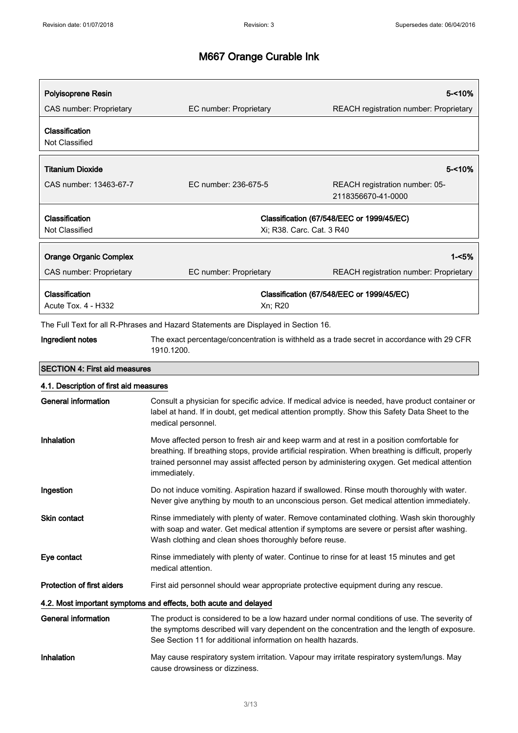| Polyisoprene Resin<br>CAS number: Proprietary                    | EC number: Proprietary                                                                                          | 5-<10%<br>REACH registration number: Proprietary                                                                                                                                                    |
|------------------------------------------------------------------|-----------------------------------------------------------------------------------------------------------------|-----------------------------------------------------------------------------------------------------------------------------------------------------------------------------------------------------|
|                                                                  |                                                                                                                 |                                                                                                                                                                                                     |
| Classification<br>Not Classified                                 |                                                                                                                 |                                                                                                                                                                                                     |
| <b>Titanium Dioxide</b>                                          |                                                                                                                 | $5 - 10%$                                                                                                                                                                                           |
| CAS number: 13463-67-7                                           | EC number: 236-675-5                                                                                            | REACH registration number: 05-<br>2118356670-41-0000                                                                                                                                                |
| Classification<br>Not Classified                                 | Xi; R38. Carc. Cat. 3 R40                                                                                       | Classification (67/548/EEC or 1999/45/EC)                                                                                                                                                           |
|                                                                  |                                                                                                                 |                                                                                                                                                                                                     |
| <b>Orange Organic Complex</b>                                    |                                                                                                                 | $1 - 5%$                                                                                                                                                                                            |
| CAS number: Proprietary                                          | EC number: Proprietary                                                                                          | REACH registration number: Proprietary                                                                                                                                                              |
| Classification<br><b>Acute Tox. 4 - H332</b>                     | Xn; R20                                                                                                         | Classification (67/548/EEC or 1999/45/EC)                                                                                                                                                           |
|                                                                  | The Full Text for all R-Phrases and Hazard Statements are Displayed in Section 16.                              |                                                                                                                                                                                                     |
| Ingredient notes                                                 | 1910.1200.                                                                                                      | The exact percentage/concentration is withheld as a trade secret in accordance with 29 CFR                                                                                                          |
| <b>SECTION 4: First aid measures</b>                             |                                                                                                                 |                                                                                                                                                                                                     |
| 4.1. Description of first aid measures                           |                                                                                                                 |                                                                                                                                                                                                     |
| <b>General information</b>                                       | medical personnel.                                                                                              | Consult a physician for specific advice. If medical advice is needed, have product container or<br>label at hand. If in doubt, get medical attention promptly. Show this Safety Data Sheet to the   |
| Inhalation                                                       | Move affected person to fresh air and keep warm and at rest in a position comfortable for<br>immediately.       | breathing. If breathing stops, provide artificial respiration. When breathing is difficult, properly<br>trained personnel may assist affected person by administering oxygen. Get medical attention |
| Ingestion                                                        |                                                                                                                 | Do not induce vomiting. Aspiration hazard if swallowed. Rinse mouth thoroughly with water.<br>Never give anything by mouth to an unconscious person. Get medical attention immediately.             |
| Skin contact                                                     | Wash clothing and clean shoes thoroughly before reuse.                                                          | Rinse immediately with plenty of water. Remove contaminated clothing. Wash skin thoroughly<br>with soap and water. Get medical attention if symptoms are severe or persist after washing.           |
| Eye contact                                                      | Rinse immediately with plenty of water. Continue to rinse for at least 15 minutes and get<br>medical attention. |                                                                                                                                                                                                     |
| <b>Protection of first aiders</b>                                | First aid personnel should wear appropriate protective equipment during any rescue.                             |                                                                                                                                                                                                     |
| 4.2. Most important symptoms and effects, both acute and delayed |                                                                                                                 |                                                                                                                                                                                                     |
| <b>General information</b>                                       | See Section 11 for additional information on health hazards.                                                    | The product is considered to be a low hazard under normal conditions of use. The severity of<br>the symptoms described will vary dependent on the concentration and the length of exposure.         |

Inhalation May cause respiratory system irritation. Vapour may irritate respiratory system/lungs. May cause drowsiness or dizziness.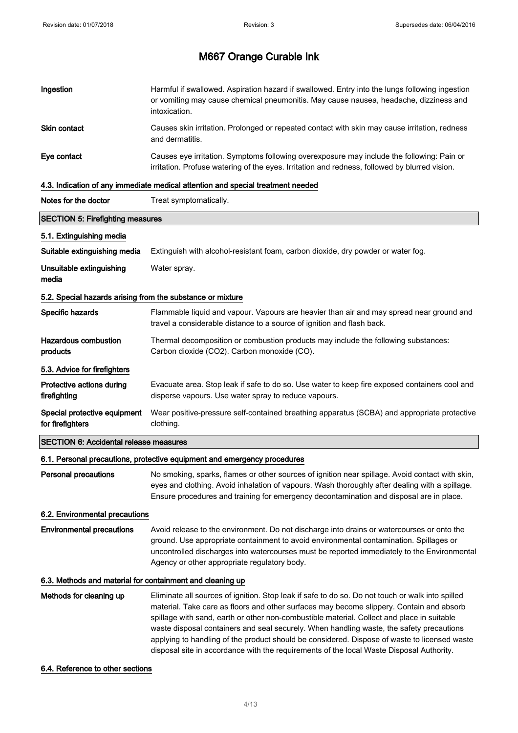| Ingestion                                                  | Harmful if swallowed. Aspiration hazard if swallowed. Entry into the lungs following ingestion<br>or vomiting may cause chemical pneumonitis. May cause nausea, headache, dizziness and<br>intoxication.                                                                                                                                                                                                                                                                                                                                                                           |  |
|------------------------------------------------------------|------------------------------------------------------------------------------------------------------------------------------------------------------------------------------------------------------------------------------------------------------------------------------------------------------------------------------------------------------------------------------------------------------------------------------------------------------------------------------------------------------------------------------------------------------------------------------------|--|
| <b>Skin contact</b>                                        | Causes skin irritation. Prolonged or repeated contact with skin may cause irritation, redness<br>and dermatitis.                                                                                                                                                                                                                                                                                                                                                                                                                                                                   |  |
| Eye contact                                                | Causes eye irritation. Symptoms following overexposure may include the following: Pain or<br>irritation. Profuse watering of the eyes. Irritation and redness, followed by blurred vision.                                                                                                                                                                                                                                                                                                                                                                                         |  |
|                                                            | 4.3. Indication of any immediate medical attention and special treatment needed                                                                                                                                                                                                                                                                                                                                                                                                                                                                                                    |  |
| Notes for the doctor                                       | Treat symptomatically.                                                                                                                                                                                                                                                                                                                                                                                                                                                                                                                                                             |  |
| <b>SECTION 5: Firefighting measures</b>                    |                                                                                                                                                                                                                                                                                                                                                                                                                                                                                                                                                                                    |  |
| 5.1. Extinguishing media                                   |                                                                                                                                                                                                                                                                                                                                                                                                                                                                                                                                                                                    |  |
| Suitable extinguishing media                               | Extinguish with alcohol-resistant foam, carbon dioxide, dry powder or water fog.                                                                                                                                                                                                                                                                                                                                                                                                                                                                                                   |  |
| Unsuitable extinguishing<br>media                          | Water spray.                                                                                                                                                                                                                                                                                                                                                                                                                                                                                                                                                                       |  |
| 5.2. Special hazards arising from the substance or mixture |                                                                                                                                                                                                                                                                                                                                                                                                                                                                                                                                                                                    |  |
| Specific hazards                                           | Flammable liquid and vapour. Vapours are heavier than air and may spread near ground and<br>travel a considerable distance to a source of ignition and flash back.                                                                                                                                                                                                                                                                                                                                                                                                                 |  |
| <b>Hazardous combustion</b><br>products                    | Thermal decomposition or combustion products may include the following substances:<br>Carbon dioxide (CO2). Carbon monoxide (CO).                                                                                                                                                                                                                                                                                                                                                                                                                                                  |  |
| 5.3. Advice for firefighters                               |                                                                                                                                                                                                                                                                                                                                                                                                                                                                                                                                                                                    |  |
| Protective actions during<br>firefighting                  | Evacuate area. Stop leak if safe to do so. Use water to keep fire exposed containers cool and<br>disperse vapours. Use water spray to reduce vapours.                                                                                                                                                                                                                                                                                                                                                                                                                              |  |
| Special protective equipment<br>for firefighters           | Wear positive-pressure self-contained breathing apparatus (SCBA) and appropriate protective<br>clothing.                                                                                                                                                                                                                                                                                                                                                                                                                                                                           |  |
| <b>SECTION 6: Accidental release measures</b>              |                                                                                                                                                                                                                                                                                                                                                                                                                                                                                                                                                                                    |  |
|                                                            | 6.1. Personal precautions, protective equipment and emergency procedures                                                                                                                                                                                                                                                                                                                                                                                                                                                                                                           |  |
| <b>Personal precautions</b>                                | No smoking, sparks, flames or other sources of ignition near spillage. Avoid contact with skin,<br>eyes and clothing. Avoid inhalation of vapours. Wash thoroughly after dealing with a spillage.<br>Ensure procedures and training for emergency decontamination and disposal are in place.                                                                                                                                                                                                                                                                                       |  |
| 6.2. Environmental precautions                             |                                                                                                                                                                                                                                                                                                                                                                                                                                                                                                                                                                                    |  |
| <b>Environmental precautions</b>                           | Avoid release to the environment. Do not discharge into drains or watercourses or onto the<br>ground. Use appropriate containment to avoid environmental contamination. Spillages or<br>uncontrolled discharges into watercourses must be reported immediately to the Environmental<br>Agency or other appropriate regulatory body.                                                                                                                                                                                                                                                |  |
| 6.3. Methods and material for containment and cleaning up  |                                                                                                                                                                                                                                                                                                                                                                                                                                                                                                                                                                                    |  |
| Methods for cleaning up                                    | Eliminate all sources of ignition. Stop leak if safe to do so. Do not touch or walk into spilled<br>material. Take care as floors and other surfaces may become slippery. Contain and absorb<br>spillage with sand, earth or other non-combustible material. Collect and place in suitable<br>waste disposal containers and seal securely. When handling waste, the safety precautions<br>applying to handling of the product should be considered. Dispose of waste to licensed waste<br>disposal site in accordance with the requirements of the local Waste Disposal Authority. |  |

### 6.4. Reference to other sections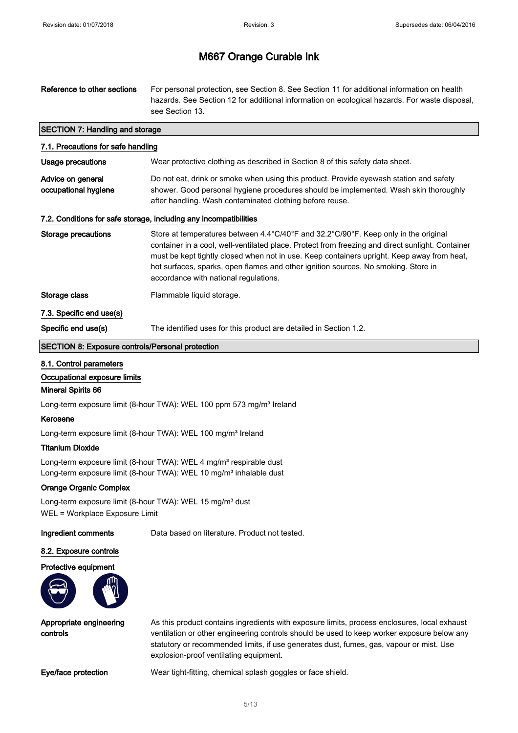| Reference to other sections                                                          | For personal protection, see Section 8. See Section 11 for additional information on health<br>hazards. See Section 12 for additional information on ecological hazards. For waste disposal,<br>see Section 13.                                                                                                                                                                                                      |  |
|--------------------------------------------------------------------------------------|----------------------------------------------------------------------------------------------------------------------------------------------------------------------------------------------------------------------------------------------------------------------------------------------------------------------------------------------------------------------------------------------------------------------|--|
| <b>SECTION 7: Handling and storage</b>                                               |                                                                                                                                                                                                                                                                                                                                                                                                                      |  |
| 7.1. Precautions for safe handling                                                   |                                                                                                                                                                                                                                                                                                                                                                                                                      |  |
| <b>Usage precautions</b>                                                             | Wear protective clothing as described in Section 8 of this safety data sheet.                                                                                                                                                                                                                                                                                                                                        |  |
| Advice on general<br>occupational hygiene                                            | Do not eat, drink or smoke when using this product. Provide eyewash station and safety<br>shower. Good personal hygiene procedures should be implemented. Wash skin thoroughly<br>after handling. Wash contaminated clothing before reuse.                                                                                                                                                                           |  |
|                                                                                      | 7.2. Conditions for safe storage, including any incompatibilities                                                                                                                                                                                                                                                                                                                                                    |  |
| Storage precautions                                                                  | Store at temperatures between 4.4°C/40°F and 32.2°C/90°F. Keep only in the original<br>container in a cool, well-ventilated place. Protect from freezing and direct sunlight. Container<br>must be kept tightly closed when not in use. Keep containers upright. Keep away from heat,<br>hot surfaces, sparks, open flames and other ignition sources. No smoking. Store in<br>accordance with national regulations. |  |
| Storage class                                                                        | Flammable liquid storage.                                                                                                                                                                                                                                                                                                                                                                                            |  |
| 7.3. Specific end use(s)                                                             |                                                                                                                                                                                                                                                                                                                                                                                                                      |  |
| Specific end use(s)                                                                  | The identified uses for this product are detailed in Section 1.2.                                                                                                                                                                                                                                                                                                                                                    |  |
| <b>SECTION 8: Exposure controls/Personal protection</b>                              |                                                                                                                                                                                                                                                                                                                                                                                                                      |  |
| 8.1. Control parameters<br>Occupational exposure limits<br><b>Mineral Spirits 66</b> |                                                                                                                                                                                                                                                                                                                                                                                                                      |  |

Long-term exposure limit (8-hour TWA): WEL 100 ppm 573 mg/m<sup>3</sup> Ireland

### Kerosene

Long-term exposure limit (8-hour TWA): WEL 100 mg/m<sup>3</sup> Ireland

### Titanium Dioxide

Long-term exposure limit (8-hour TWA): WEL 4 mg/m<sup>3</sup> respirable dust Long-term exposure limit (8-hour TWA): WEL 10 mg/m<sup>3</sup> inhalable dust

### Orange Organic Complex

Long-term exposure limit (8-hour TWA): WEL 15 mg/m<sup>3</sup> dust WEL = Workplace Exposure Limit

Ingredient comments Data based on literature. Product not tested.

#### 8.2. Exposure controls

#### Protective equipment



Appropriate engineering controls

As this product contains ingredients with exposure limits, process enclosures, local exhaust ventilation or other engineering controls should be used to keep worker exposure below any statutory or recommended limits, if use generates dust, fumes, gas, vapour or mist. Use explosion-proof ventilating equipment.

Eye/face protection Wear tight-fitting, chemical splash goggles or face shield.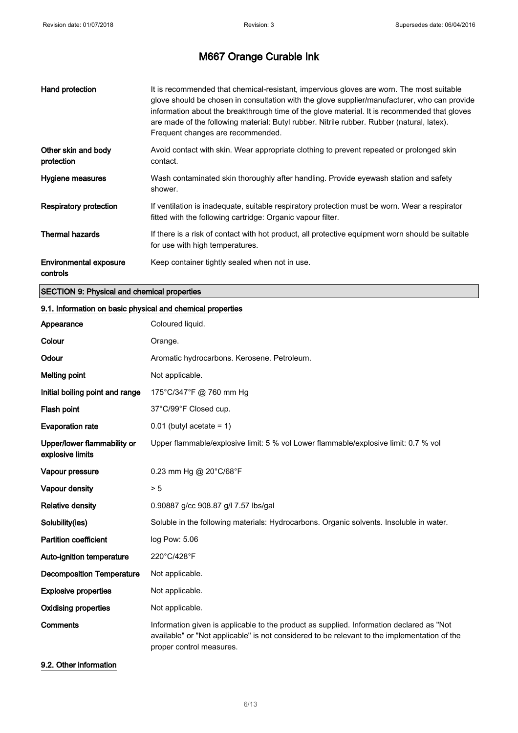| Hand protection                    | It is recommended that chemical-resistant, impervious gloves are worn. The most suitable<br>glove should be chosen in consultation with the glove supplier/manufacturer, who can provide<br>information about the breakthrough time of the glove material. It is recommended that gloves<br>are made of the following material: Butyl rubber. Nitrile rubber. Rubber (natural, latex).<br>Frequent changes are recommended. |
|------------------------------------|-----------------------------------------------------------------------------------------------------------------------------------------------------------------------------------------------------------------------------------------------------------------------------------------------------------------------------------------------------------------------------------------------------------------------------|
| Other skin and body<br>protection  | Avoid contact with skin. Wear appropriate clothing to prevent repeated or prolonged skin<br>contact.                                                                                                                                                                                                                                                                                                                        |
| Hygiene measures                   | Wash contaminated skin thoroughly after handling. Provide eyewash station and safety<br>shower.                                                                                                                                                                                                                                                                                                                             |
| <b>Respiratory protection</b>      | If ventilation is inadequate, suitable respiratory protection must be worn. Wear a respirator<br>fitted with the following cartridge: Organic vapour filter.                                                                                                                                                                                                                                                                |
| <b>Thermal hazards</b>             | If there is a risk of contact with hot product, all protective equipment worn should be suitable<br>for use with high temperatures.                                                                                                                                                                                                                                                                                         |
| Environmental exposure<br>controls | Keep container tightly sealed when not in use.                                                                                                                                                                                                                                                                                                                                                                              |

### SECTION 9: Physical and chemical properties

### 9.1. Information on basic physical and chemical properties

| Appearance                                      | Coloured liquid.                                                                                                                                                                                                     |
|-------------------------------------------------|----------------------------------------------------------------------------------------------------------------------------------------------------------------------------------------------------------------------|
| Colour                                          | Orange.                                                                                                                                                                                                              |
| Odour                                           | Aromatic hydrocarbons. Kerosene. Petroleum.                                                                                                                                                                          |
| <b>Melting point</b>                            | Not applicable.                                                                                                                                                                                                      |
| Initial boiling point and range                 | 175°C/347°F @ 760 mm Hg                                                                                                                                                                                              |
| Flash point                                     | 37°C/99°F Closed cup.                                                                                                                                                                                                |
| <b>Evaporation rate</b>                         | $0.01$ (butyl acetate = 1)                                                                                                                                                                                           |
| Upper/lower flammability or<br>explosive limits | Upper flammable/explosive limit: 5 % vol Lower flammable/explosive limit: 0.7 % vol                                                                                                                                  |
| Vapour pressure                                 | 0.23 mm Hg @ 20°C/68°F                                                                                                                                                                                               |
| Vapour density                                  | > 5                                                                                                                                                                                                                  |
| <b>Relative density</b>                         | 0.90887 g/cc 908.87 g/l 7.57 lbs/gal                                                                                                                                                                                 |
| Solubility(ies)                                 | Soluble in the following materials: Hydrocarbons. Organic solvents. Insoluble in water.                                                                                                                              |
| <b>Partition coefficient</b>                    | log Pow: 5.06                                                                                                                                                                                                        |
| Auto-ignition temperature                       | 220°C/428°F                                                                                                                                                                                                          |
| <b>Decomposition Temperature</b>                | Not applicable.                                                                                                                                                                                                      |
| <b>Explosive properties</b>                     | Not applicable.                                                                                                                                                                                                      |
| <b>Oxidising properties</b>                     | Not applicable.                                                                                                                                                                                                      |
| <b>Comments</b>                                 | Information given is applicable to the product as supplied. Information declared as "Not<br>available" or "Not applicable" is not considered to be relevant to the implementation of the<br>proper control measures. |

### 9.2. Other information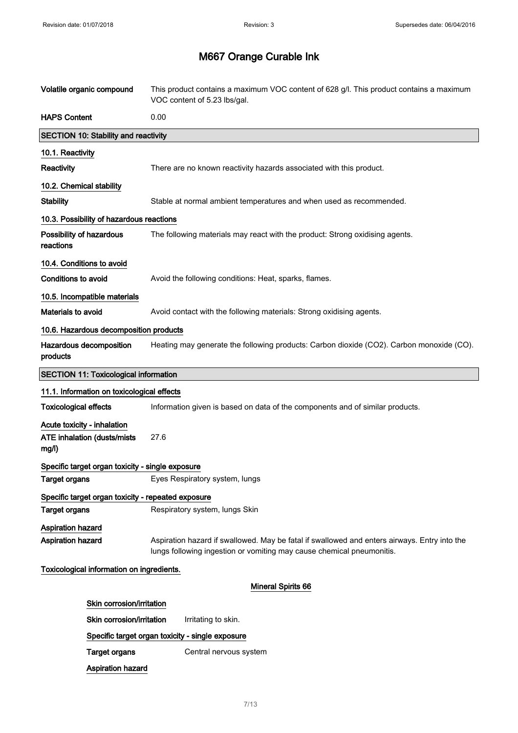| Volatile organic compound                                                  | This product contains a maximum VOC content of 628 g/l. This product contains a maximum<br>VOC content of 5.23 lbs/gal.                                               |
|----------------------------------------------------------------------------|-----------------------------------------------------------------------------------------------------------------------------------------------------------------------|
| <b>HAPS Content</b>                                                        | 0.00                                                                                                                                                                  |
| <b>SECTION 10: Stability and reactivity</b>                                |                                                                                                                                                                       |
| 10.1. Reactivity                                                           |                                                                                                                                                                       |
| Reactivity                                                                 | There are no known reactivity hazards associated with this product.                                                                                                   |
| 10.2. Chemical stability                                                   |                                                                                                                                                                       |
| <b>Stability</b>                                                           | Stable at normal ambient temperatures and when used as recommended.                                                                                                   |
| 10.3. Possibility of hazardous reactions                                   |                                                                                                                                                                       |
| Possibility of hazardous<br>reactions                                      | The following materials may react with the product: Strong oxidising agents.                                                                                          |
| 10.4. Conditions to avoid                                                  |                                                                                                                                                                       |
| <b>Conditions to avoid</b>                                                 | Avoid the following conditions: Heat, sparks, flames.                                                                                                                 |
| 10.5. Incompatible materials                                               |                                                                                                                                                                       |
| Materials to avoid                                                         | Avoid contact with the following materials: Strong oxidising agents.                                                                                                  |
| 10.6. Hazardous decomposition products                                     |                                                                                                                                                                       |
| Hazardous decomposition<br>products                                        | Heating may generate the following products: Carbon dioxide (CO2). Carbon monoxide (CO).                                                                              |
| <b>SECTION 11: Toxicological information</b>                               |                                                                                                                                                                       |
| 11.1. Information on toxicological effects                                 |                                                                                                                                                                       |
| <b>Toxicological effects</b>                                               | Information given is based on data of the components and of similar products.                                                                                         |
| Acute toxicity - inhalation<br><b>ATE inhalation (dusts/mists</b><br>mg/l) | 27.6                                                                                                                                                                  |
| Specific target organ toxicity - single exposure                           |                                                                                                                                                                       |
| <b>Target organs</b>                                                       | Eyes Respiratory system, lungs                                                                                                                                        |
| Specific target organ toxicity - repeated exposure                         |                                                                                                                                                                       |
| <b>Target organs</b>                                                       | Respiratory system, lungs Skin                                                                                                                                        |
| <b>Aspiration hazard</b><br><b>Aspiration hazard</b>                       | Aspiration hazard if swallowed. May be fatal if swallowed and enters airways. Entry into the<br>lungs following ingestion or vomiting may cause chemical pneumonitis. |
| Toxicological information on ingredients.                                  |                                                                                                                                                                       |
|                                                                            | <b>Mineral Spirits 66</b>                                                                                                                                             |
| Skin corrosion/irritation                                                  |                                                                                                                                                                       |
| Skin corrosion/irritation                                                  | Irritating to skin.                                                                                                                                                   |
|                                                                            | Specific target organ toxicity - single exposure                                                                                                                      |
| <b>Target organs</b>                                                       | Central nervous system                                                                                                                                                |
| <b>Aspiration hazard</b>                                                   |                                                                                                                                                                       |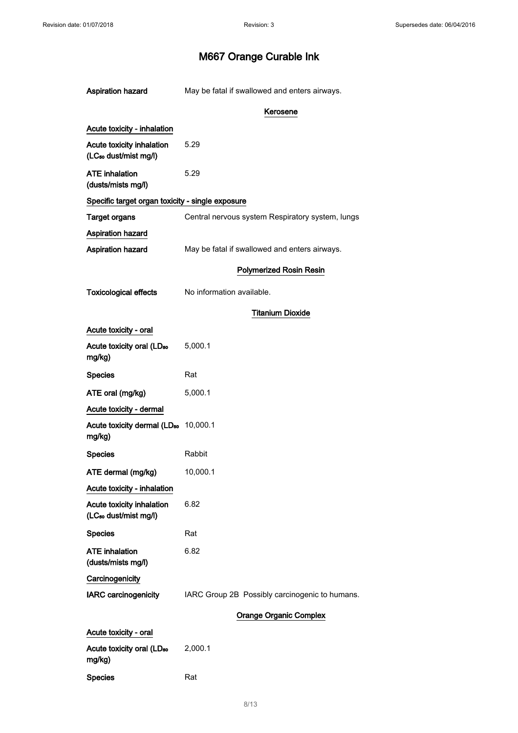| Aspiration hazard                                                     | May be fatal if swallowed and enters airways.    |
|-----------------------------------------------------------------------|--------------------------------------------------|
|                                                                       | Kerosene                                         |
| <b>Acute toxicity - inhalation</b>                                    |                                                  |
| <b>Acute toxicity inhalation</b><br>(LC <sub>50</sub> dust/mist mg/l) | 5.29                                             |
| ATE inhalation<br>(dusts/mists mg/l)                                  | 5.29                                             |
| Specific target organ toxicity - single exposure                      |                                                  |
| <b>Target organs</b>                                                  | Central nervous system Respiratory system, lungs |
| Aspiration hazard                                                     |                                                  |
| <b>Aspiration hazard</b>                                              | May be fatal if swallowed and enters airways.    |
|                                                                       | <b>Polymerized Rosin Resin</b>                   |
| <b>Toxicological effects</b>                                          | No information available.                        |
|                                                                       | <b>Titanium Dioxide</b>                          |
| Acute toxicity - oral                                                 |                                                  |
| Acute toxicity oral (LD <sub>50</sub><br>mg/kg)                       | 5,000.1                                          |
| <b>Species</b>                                                        | Rat                                              |
| ATE oral (mg/kg)                                                      | 5,000.1                                          |
| Acute toxicity - dermal                                               |                                                  |
| Acute toxicity dermal (LD <sub>50</sub> 10,000.1<br>mg/kg)            |                                                  |
| Species                                                               | Rabbit                                           |
| ATE dermal (mg/kg)                                                    | 10,000.1                                         |
| Acute toxicity - inhalation                                           |                                                  |
| <b>Acute toxicity inhalation</b><br>(LC <sub>50</sub> dust/mist mg/l) | 6.82                                             |
| <b>Species</b>                                                        | Rat                                              |
| ATE inhalation<br>(dusts/mists mg/l)                                  | 6.82                                             |
| Carcinogenicity                                                       |                                                  |
| <b>IARC carcinogenicity</b>                                           | IARC Group 2B Possibly carcinogenic to humans.   |
|                                                                       | <b>Orange Organic Complex</b>                    |
| Acute toxicity - oral                                                 |                                                  |
| Acute toxicity oral (LD <sub>50</sub><br>mg/kg)                       | 2,000.1                                          |
| <b>Species</b>                                                        | Rat                                              |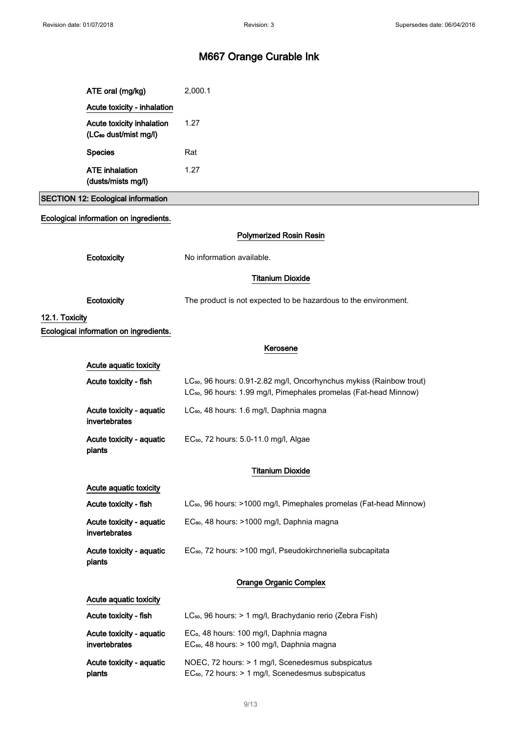|                | ATE oral (mg/kg)                                               | 2,000.1                                                                                                                                                           |
|----------------|----------------------------------------------------------------|-------------------------------------------------------------------------------------------------------------------------------------------------------------------|
|                | Acute toxicity - inhalation                                    |                                                                                                                                                                   |
|                | Acute toxicity inhalation<br>(LC <sub>50</sub> dust/mist mg/l) | 1.27                                                                                                                                                              |
|                | <b>Species</b>                                                 | Rat                                                                                                                                                               |
|                | <b>ATE</b> inhalation                                          | 1.27                                                                                                                                                              |
|                | (dusts/mists mg/l)                                             |                                                                                                                                                                   |
|                | <b>SECTION 12: Ecological information</b>                      |                                                                                                                                                                   |
|                | Ecological information on ingredients.                         |                                                                                                                                                                   |
|                |                                                                | <b>Polymerized Rosin Resin</b>                                                                                                                                    |
|                | Ecotoxicity                                                    | No information available.                                                                                                                                         |
|                |                                                                | <b>Titanium Dioxide</b>                                                                                                                                           |
|                | Ecotoxicity                                                    | The product is not expected to be hazardous to the environment.                                                                                                   |
| 12.1. Toxicity |                                                                |                                                                                                                                                                   |
|                | Ecological information on ingredients.                         |                                                                                                                                                                   |
|                |                                                                | Kerosene                                                                                                                                                          |
|                | Acute aquatic toxicity                                         |                                                                                                                                                                   |
|                | Acute toxicity - fish                                          | LC <sub>50</sub> , 96 hours: 0.91-2.82 mg/l, Oncorhynchus mykiss (Rainbow trout)<br>LC <sub>50</sub> , 96 hours: 1.99 mg/l, Pimephales promelas (Fat-head Minnow) |
|                | Acute toxicity - aquatic<br>invertebrates                      | LC <sub>50</sub> , 48 hours: 1.6 mg/l, Daphnia magna                                                                                                              |
|                | Acute toxicity - aquatic<br>plants                             | EC <sub>50</sub> , 72 hours: 5.0-11.0 mg/l, Algae                                                                                                                 |
|                |                                                                | <b>Titanium Dioxide</b>                                                                                                                                           |
|                | Acute aquatic toxicity                                         |                                                                                                                                                                   |
|                | Acute toxicity - fish                                          | LC <sub>50</sub> , 96 hours: >1000 mg/l, Pimephales promelas (Fat-head Minnow)                                                                                    |
|                | Acute toxicity - aquatic<br>invertebrates                      | EC <sub>80</sub> , 48 hours: >1000 mg/l, Daphnia magna                                                                                                            |
|                | Acute toxicity - aquatic<br>plants                             | EC <sub>50</sub> , 72 hours: >100 mg/l, Pseudokirchneriella subcapitata                                                                                           |
|                |                                                                | <b>Orange Organic Complex</b>                                                                                                                                     |
|                | Acute aquatic toxicity                                         |                                                                                                                                                                   |
|                | Acute toxicity - fish                                          | LC <sub>50</sub> , 96 hours: > 1 mg/l, Brachydanio rerio (Zebra Fish)                                                                                             |
|                | Acute toxicity - aquatic<br>invertebrates                      | EC <sub>o</sub> , 48 hours: 100 mg/l, Daphnia magna<br>EC <sub>50</sub> , 48 hours: > 100 mg/l, Daphnia magna                                                     |
|                | Acute toxicity - aquatic<br>plants                             | NOEC, 72 hours: > 1 mg/l, Scenedesmus subspicatus<br>EC <sub>50</sub> , 72 hours: > 1 mg/l, Scenedesmus subspicatus                                               |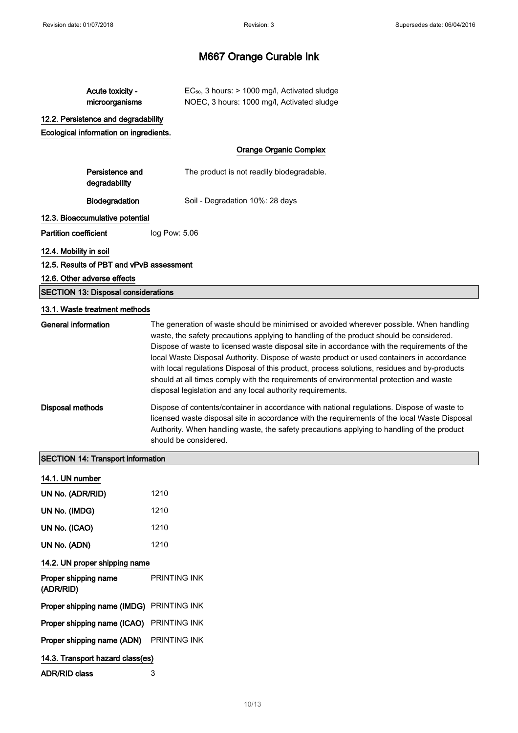| Acute toxicity -<br>microorganisms                          | EC <sub>50</sub> , 3 hours: > 1000 mg/l, Activated sludge<br>NOEC, 3 hours: 1000 mg/l, Activated sludge                                                                                                                                                                                                                                                                                                                                                                                                                                     |  |
|-------------------------------------------------------------|---------------------------------------------------------------------------------------------------------------------------------------------------------------------------------------------------------------------------------------------------------------------------------------------------------------------------------------------------------------------------------------------------------------------------------------------------------------------------------------------------------------------------------------------|--|
| 12.2. Persistence and degradability                         |                                                                                                                                                                                                                                                                                                                                                                                                                                                                                                                                             |  |
| Ecological information on ingredients.                      |                                                                                                                                                                                                                                                                                                                                                                                                                                                                                                                                             |  |
|                                                             | <b>Orange Organic Complex</b>                                                                                                                                                                                                                                                                                                                                                                                                                                                                                                               |  |
| Persistence and<br>degradability                            | The product is not readily biodegradable.                                                                                                                                                                                                                                                                                                                                                                                                                                                                                                   |  |
| Biodegradation                                              | Soil - Degradation 10%: 28 days                                                                                                                                                                                                                                                                                                                                                                                                                                                                                                             |  |
| 12.3. Bioaccumulative potential                             |                                                                                                                                                                                                                                                                                                                                                                                                                                                                                                                                             |  |
| <b>Partition coefficient</b>                                | log Pow: 5.06                                                                                                                                                                                                                                                                                                                                                                                                                                                                                                                               |  |
| 12.4. Mobility in soil                                      |                                                                                                                                                                                                                                                                                                                                                                                                                                                                                                                                             |  |
| 12.5. Results of PBT and vPvB assessment                    |                                                                                                                                                                                                                                                                                                                                                                                                                                                                                                                                             |  |
| 12.6. Other adverse effects                                 |                                                                                                                                                                                                                                                                                                                                                                                                                                                                                                                                             |  |
| <b>SECTION 13: Disposal considerations</b>                  |                                                                                                                                                                                                                                                                                                                                                                                                                                                                                                                                             |  |
| 13.1. Waste treatment methods<br><b>General information</b> | The generation of waste should be minimised or avoided wherever possible. When handling                                                                                                                                                                                                                                                                                                                                                                                                                                                     |  |
|                                                             | waste, the safety precautions applying to handling of the product should be considered.<br>Dispose of waste to licensed waste disposal site in accordance with the requirements of the<br>local Waste Disposal Authority. Dispose of waste product or used containers in accordance<br>with local regulations Disposal of this product, process solutions, residues and by-products<br>should at all times comply with the requirements of environmental protection and waste<br>disposal legislation and any local authority requirements. |  |
| <b>Disposal methods</b>                                     | Dispose of contents/container in accordance with national regulations. Dispose of waste to<br>licensed waste disposal site in accordance with the requirements of the local Waste Disposal<br>Authority. When handling waste, the safety precautions applying to handling of the product<br>should be considered.                                                                                                                                                                                                                           |  |
| <b>SECTION 14: Transport information</b>                    |                                                                                                                                                                                                                                                                                                                                                                                                                                                                                                                                             |  |
| 14.1. UN number                                             |                                                                                                                                                                                                                                                                                                                                                                                                                                                                                                                                             |  |
| UN No. (ADR/RID)                                            | 1210                                                                                                                                                                                                                                                                                                                                                                                                                                                                                                                                        |  |
| UN No. (IMDG)                                               | 1210                                                                                                                                                                                                                                                                                                                                                                                                                                                                                                                                        |  |
| UN No. (ICAO)                                               | 1210                                                                                                                                                                                                                                                                                                                                                                                                                                                                                                                                        |  |
| UN No. (ADN)                                                | 1210                                                                                                                                                                                                                                                                                                                                                                                                                                                                                                                                        |  |
| 14.2. UN proper shipping name                               |                                                                                                                                                                                                                                                                                                                                                                                                                                                                                                                                             |  |
| Proper shipping name<br>(ADR/RID)                           | PRINTING INK                                                                                                                                                                                                                                                                                                                                                                                                                                                                                                                                |  |
| Proper shipping name (IMDG) PRINTING INK                    |                                                                                                                                                                                                                                                                                                                                                                                                                                                                                                                                             |  |
| Proper shipping name (ICAO)                                 | PRINTING INK                                                                                                                                                                                                                                                                                                                                                                                                                                                                                                                                |  |
| Proper shipping name (ADN)                                  | PRINTING INK                                                                                                                                                                                                                                                                                                                                                                                                                                                                                                                                |  |
| 14.3. Transport hazard class(es)                            |                                                                                                                                                                                                                                                                                                                                                                                                                                                                                                                                             |  |
| <b>ADR/RID class</b>                                        | 3                                                                                                                                                                                                                                                                                                                                                                                                                                                                                                                                           |  |
|                                                             |                                                                                                                                                                                                                                                                                                                                                                                                                                                                                                                                             |  |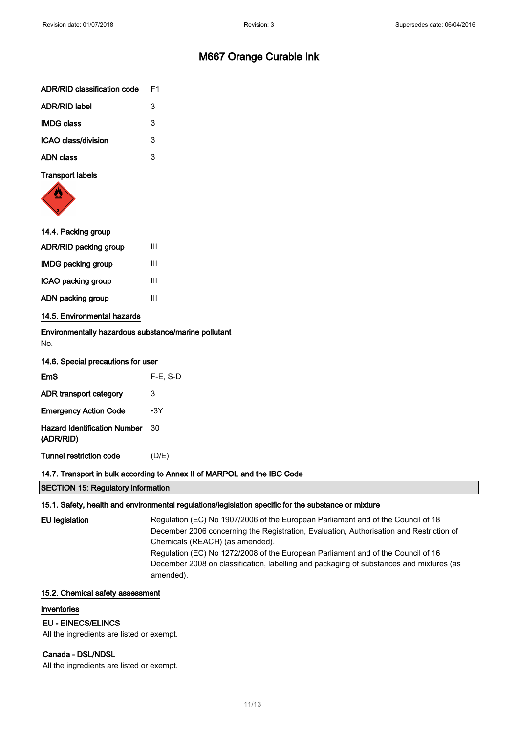| ADR/RID classification code | F1 |
|-----------------------------|----|
| <b>ADR/RID label</b>        | 3  |
| <b>IMDG class</b>           | 3  |
| ICAO class/division         | 3  |
| ADN class                   | 3  |
|                             |    |



| 14.4. Packing group          |   |
|------------------------------|---|
| <b>ADR/RID packing group</b> | Ш |
| <b>IMDG packing group</b>    | Ш |
| ICAO packing group           | Ш |
| ADN packing group            | Ш |
| 14.5. Environmental hazards  |   |

Environmentally hazardous substance/marine pollutant No.

| <b>EmS</b>                                       | $F-E$ , S-D |
|--------------------------------------------------|-------------|
| ADR transport category                           | 3           |
| <b>Emergency Action Code</b>                     | •3Y         |
| <b>Hazard Identification Number</b><br>(ADR/RID) | 30          |
| Tunnel restriction code                          | (D/E)       |

### 14.7. Transport in bulk according to Annex II of MARPOL and the IBC Code

SECTION 15: Regulatory information

#### 15.1. Safety, health and environmental regulations/legislation specific for the substance or mixture

```
EU legislation Regulation (EC) No 1907/2006 of the European Parliament and of the Council of 18
                 December 2006 concerning the Registration, Evaluation, Authorisation and Restriction of
                 Chemicals (REACH) (as amended).
                 Regulation (EC) No 1272/2008 of the European Parliament and of the Council of 16
                 December 2008 on classification, labelling and packaging of substances and mixtures (as
                 amended).
```
### 15.2. Chemical safety assessment

#### Inventories

### EU - EINECS/ELINCS

All the ingredients are listed or exempt.

### Canada - DSL/NDSL

All the ingredients are listed or exempt.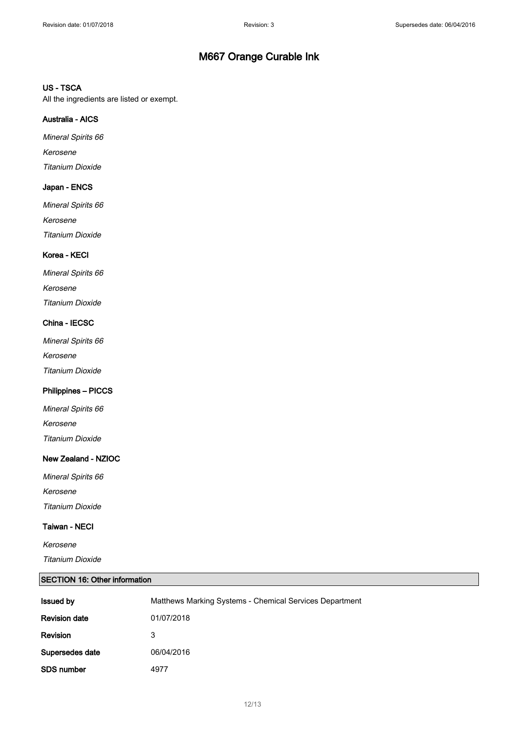#### US - TSCA

All the ingredients are listed or exempt.

### Australia - AICS

Mineral Spirits 66 Kerosene Titanium Dioxide

### Japan - ENCS

Mineral Spirits 66 Kerosene Titanium Dioxide

### Korea - KECI

| Mineral Spirits 66 |
|--------------------|
| Kerosene           |
| Titanium Dioxide   |

### China - IECSC

Mineral Spirits 66 Kerosene Titanium Dioxide

### Philippines – PICCS

Mineral Spirits 66 Kerosene Titanium Dioxide

### New Zealand - NZIOC

Mineral Spirits 66 Kerosene Titanium Dioxide

### Taiwan - NECI

Kerosene Titanium Dioxide

### SECTION 16: Other information

| <b>Issued by</b>     | Matthews Marking Systems - Chemical Services Department |
|----------------------|---------------------------------------------------------|
| <b>Revision date</b> | 01/07/2018                                              |
| Revision             | 3                                                       |
| Supersedes date      | 06/04/2016                                              |
| <b>SDS number</b>    | 4977                                                    |